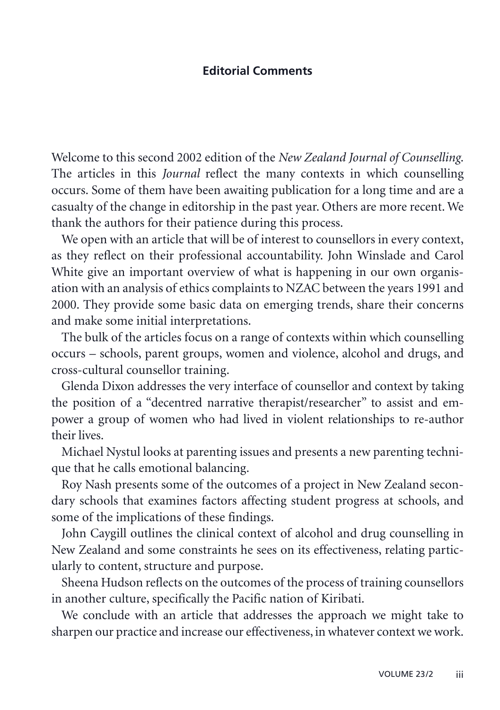## **Editorial Comments**

Welcome to this second 2002 edition of the *New Zealand Journal of Counselling*. The articles in this *Journal* reflect the many contexts in which counselling occurs. Some of them have been awaiting publication for a long time and are a casualty of the change in editorship in the past year. Others are more recent. We thank the authors for their patience during this process.

We open with an article that will be of interest to counsellors in every context, as they reflect on their professional accountability. John Winslade and Carol White give an important overview of what is happening in our own organisation with an analysis of ethics complaints to NZAC between the years 1991 and 2000. They provide some basic data on emerging trends, share their concerns and make some initial interpretations.

The bulk of the articles focus on a range of contexts within which counselling occurs – schools, parent groups, women and violence, alcohol and drugs, and cross-cultural counsellor training.

Glenda Dixon addresses the very interface of counsellor and context by taking the position of a "decentred narrative therapist/researcher" to assist and empower a group of women who had lived in violent relationships to re-author their lives.

Michael Nystul looks at parenting issues and presents a new parenting technique that he calls emotional balancing.

Roy Nash presents some of the outcomes of a project in New Zealand secondary schools that examines factors affecting student progress at schools, and some of the implications of these findings.

John Caygill outlines the clinical context of alcohol and drug counselling in New Zealand and some constraints he sees on its effectiveness, relating particularly to content, structure and purpose.

Sheena Hudson reflects on the outcomes of the process of training counsellors in another culture, specifically the Pacific nation of Kiribati.

We conclude with an article that addresses the approach we might take to sharpen our practice and increase our effectiveness, in whatever context we work.